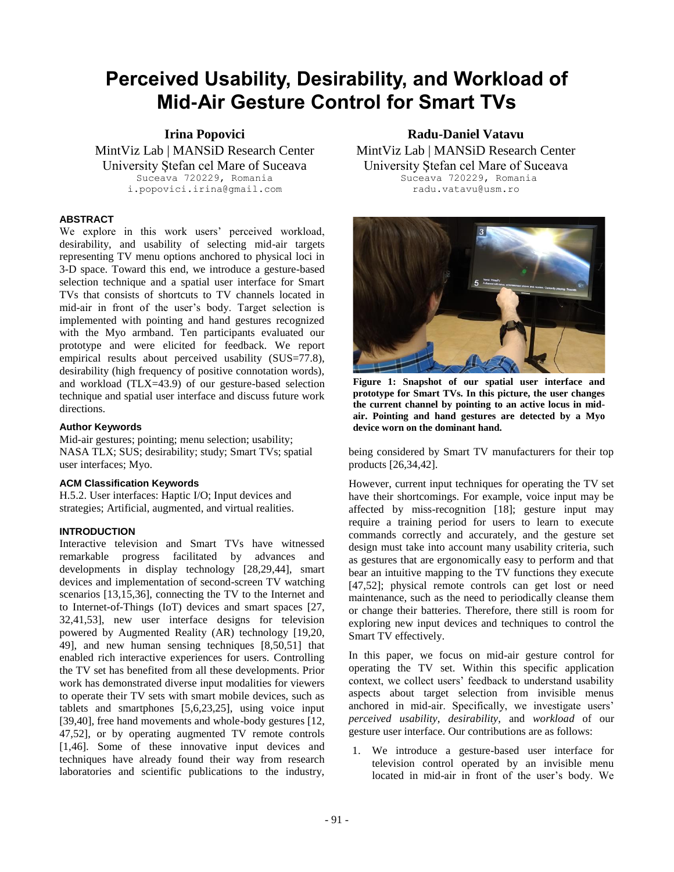# **Perceived Usability, Desirability, and Workload of Mid-Air Gesture Control for Smart TVs**

**Irina Popovici** MintViz Lab | MANSiD Research Center University Ștefan cel Mare of Suceava Suceava 720229, Romania i.popovici.irina@gmail.com

# **ABSTRACT**

We explore in this work users' perceived workload, desirability, and usability of selecting mid-air targets representing TV menu options anchored to physical loci in 3-D space. Toward this end, we introduce a gesture-based selection technique and a spatial user interface for Smart TVs that consists of shortcuts to TV channels located in mid-air in front of the user's body. Target selection is implemented with pointing and hand gestures recognized with the Myo armband. Ten participants evaluated our prototype and were elicited for feedback. We report empirical results about perceived usability (SUS=77.8), desirability (high frequency of positive connotation words), and workload (TLX=43.9) of our gesture-based selection technique and spatial user interface and discuss future work directions.

# **Author Keywords**

Mid-air gestures; pointing; menu selection; usability; NASA TLX; SUS; desirability; study; Smart TVs; spatial user interfaces; Myo.

# **ACM Classification Keywords**

H.5.2. User interfaces: Haptic I/O; Input devices and strategies; Artificial, augmented, and virtual realities.

# **INTRODUCTION**

Interactive television and Smart TVs have witnessed remarkable progress facilitated by advances and developments in display technology [28,29,44], smart devices and implementation of second-screen TV watching scenarios [13,15,36], connecting the TV to the Internet and to Internet-of-Things (IoT) devices and smart spaces [27, 32,41,53], new user interface designs for television powered by Augmented Reality (AR) technology [19,20, 49], and new human sensing techniques [8,50,51] that enabled rich interactive experiences for users. Controlling the TV set has benefited from all these developments. Prior work has demonstrated diverse input modalities for viewers to operate their TV sets with smart mobile devices, such as tablets and smartphones [5,6,23,25], using voice input [39,40], free hand movements and whole-body gestures [12, 47,52], or by operating augmented TV remote controls [1,46]. Some of these innovative input devices and techniques have already found their way from research laboratories and scientific publications to the industry,

**Radu-Daniel Vatavu** MintViz Lab | MANSiD Research Center University Ștefan cel Mare of Suceava Suceava 720229, Romania radu.vatavu@usm.ro



**Figure 1: Snapshot of our spatial user interface and prototype for Smart TVs. In this picture, the user changes the current channel by pointing to an active locus in midair. Pointing and hand gestures are detected by a Myo device worn on the dominant hand.**

being considered by Smart TV manufacturers for their top products [26,34,42].

However, current input techniques for operating the TV set have their shortcomings. For example, voice input may be affected by miss-recognition [18]; gesture input may require a training period for users to learn to execute commands correctly and accurately, and the gesture set design must take into account many usability criteria, such as gestures that are ergonomically easy to perform and that bear an intuitive mapping to the TV functions they execute [47,52]; physical remote controls can get lost or need maintenance, such as the need to periodically cleanse them or change their batteries. Therefore, there still is room for exploring new input devices and techniques to control the Smart TV effectively.

In this paper, we focus on mid-air gesture control for operating the TV set. Within this specific application context, we collect users' feedback to understand usability aspects about target selection from invisible menus anchored in mid-air. Specifically, we investigate users' *perceived usability*, *desirability*, and *workload* of our gesture user interface. Our contributions are as follows:

1. We introduce a gesture-based user interface for television control operated by an invisible menu located in mid-air in front of the user's body. We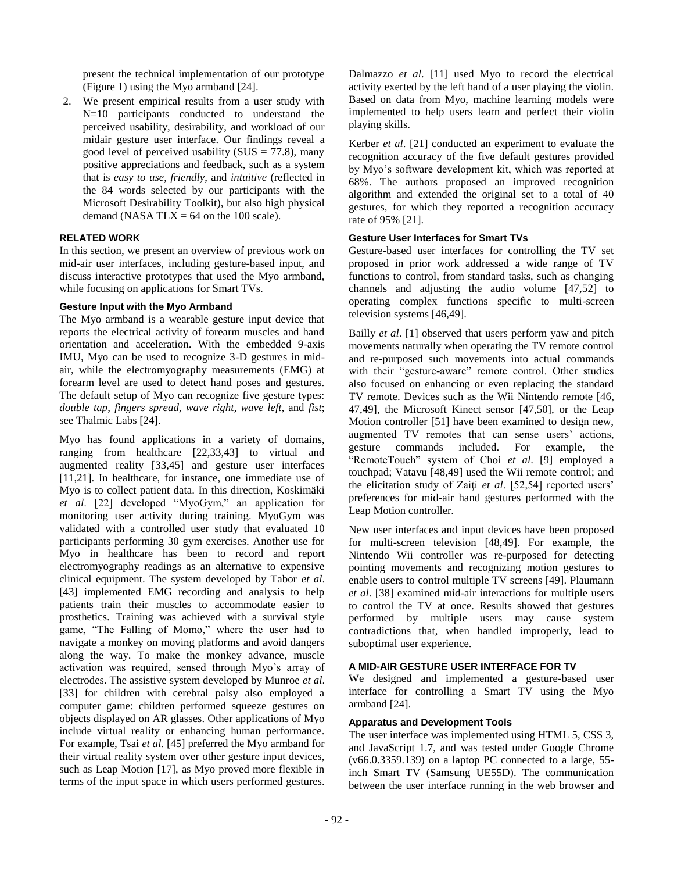present the technical implementation of our prototype (Figure 1) using the Myo armband [24].

2. We present empirical results from a user study with N=10 participants conducted to understand the perceived usability, desirability, and workload of our midair gesture user interface. Our findings reveal a good level of perceived usability ( $SUS = 77.8$ ), many positive appreciations and feedback, such as a system that is *easy to use*, *friendly*, and *intuitive* (reflected in the 84 words selected by our participants with the Microsoft Desirability Toolkit), but also high physical demand (NASA TLX =  $64$  on the 100 scale).

# **RELATED WORK**

In this section, we present an overview of previous work on mid-air user interfaces, including gesture-based input, and discuss interactive prototypes that used the Myo armband, while focusing on applications for Smart TVs.

# **Gesture Input with the Myo Armband**

The Myo armband is a wearable gesture input device that reports the electrical activity of forearm muscles and hand orientation and acceleration. With the embedded 9-axis IMU, Myo can be used to recognize 3-D gestures in midair, while the electromyography measurements (EMG) at forearm level are used to detect hand poses and gestures. The default setup of Myo can recognize five gesture types: *double tap*, *fingers spread*, *wave right*, *wave left*, and *fist*; see Thalmic Labs [24].

Myo has found applications in a variety of domains, ranging from healthcare [22,33,43] to virtual and augmented reality [33,45] and gesture user interfaces [11,21]. In healthcare, for instance, one immediate use of Myo is to collect patient data. In this direction, Koskimäki *et al*. [22] developed "MyoGym," an application for monitoring user activity during training. MyoGym was validated with a controlled user study that evaluated 10 participants performing 30 gym exercises. Another use for Myo in healthcare has been to record and report electromyography readings as an alternative to expensive clinical equipment. The system developed by Tabor *et al*. [43] implemented EMG recording and analysis to help patients train their muscles to accommodate easier to prosthetics. Training was achieved with a survival style game, "The Falling of Momo," where the user had to navigate a monkey on moving platforms and avoid dangers along the way. To make the monkey advance, muscle activation was required, sensed through Myo's array of electrodes. The assistive system developed by Munroe *et al*. [33] for children with cerebral palsy also employed a computer game: children performed squeeze gestures on objects displayed on AR glasses. Other applications of Myo include virtual reality or enhancing human performance. For example, Tsai *et al*. [45] preferred the Myo armband for their virtual reality system over other gesture input devices, such as Leap Motion [17], as Myo proved more flexible in terms of the input space in which users performed gestures.

Dalmazzo *et al*. [11] used Myo to record the electrical activity exerted by the left hand of a user playing the violin. Based on data from Myo, machine learning models were implemented to help users learn and perfect their violin playing skills.

Kerber *et al*. [21] conducted an experiment to evaluate the recognition accuracy of the five default gestures provided by Myo's software development kit, which was reported at 68%. The authors proposed an improved recognition algorithm and extended the original set to a total of 40 gestures, for which they reported a recognition accuracy rate of 95% [21].

# **Gesture User Interfaces for Smart TVs**

Gesture-based user interfaces for controlling the TV set proposed in prior work addressed a wide range of TV functions to control, from standard tasks, such as changing channels and adjusting the audio volume [47,52] to operating complex functions specific to multi-screen television systems [46,49].

Bailly *et al*. [1] observed that users perform yaw and pitch movements naturally when operating the TV remote control and re-purposed such movements into actual commands with their "gesture-aware" remote control. Other studies also focused on enhancing or even replacing the standard TV remote. Devices such as the Wii Nintendo remote [46, 47,49], the Microsoft Kinect sensor [47,50], or the Leap Motion controller [51] have been examined to design new, augmented TV remotes that can sense users' actions, gesture commands included. For example, the "RemoteTouch" system of Choi *et al*. [9] employed a touchpad; Vatavu [48,49] used the Wii remote control; and the elicitation study of Zaiţi *et al*. [52,54] reported users' preferences for mid-air hand gestures performed with the Leap Motion controller.

New user interfaces and input devices have been proposed for multi-screen television [48,49]. For example, the Nintendo Wii controller was re-purposed for detecting pointing movements and recognizing motion gestures to enable users to control multiple TV screens [49]. Plaumann *et al*. [38] examined mid-air interactions for multiple users to control the TV at once. Results showed that gestures performed by multiple users may cause system contradictions that, when handled improperly, lead to suboptimal user experience.

# **A MID-AIR GESTURE USER INTERFACE FOR TV**

We designed and implemented a gesture-based user interface for controlling a Smart TV using the Myo armband [24].

# **Apparatus and Development Tools**

The user interface was implemented using HTML 5, CSS 3, and JavaScript 1.7, and was tested under Google Chrome (v66.0.3359.139) on a laptop PC connected to a large, 55 inch Smart TV (Samsung UE55D). The communication between the user interface running in the web browser and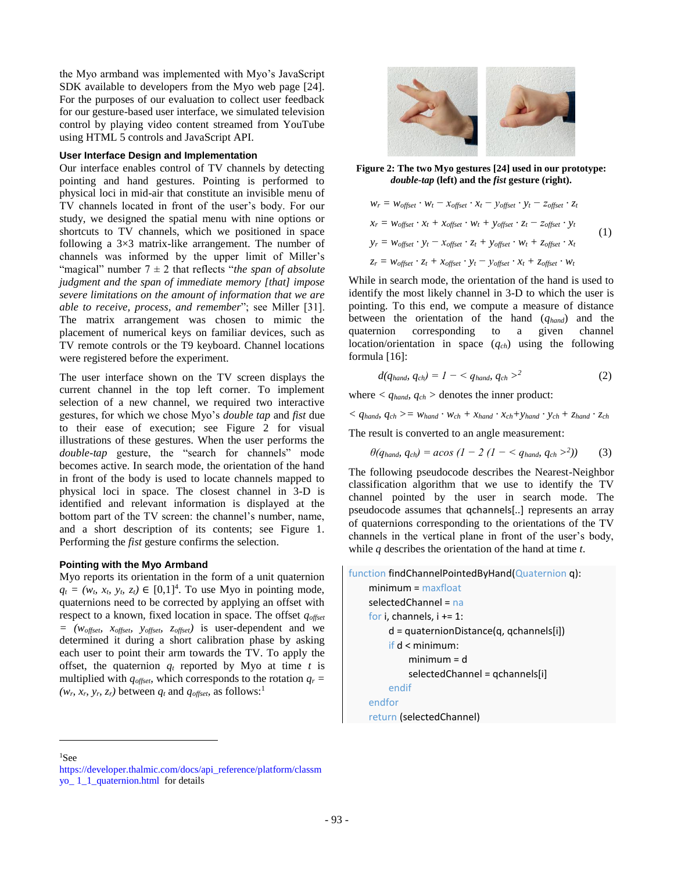the Myo armband was implemented with Myo's JavaScript SDK available to developers from the Myo web page [24]. For the purposes of our evaluation to collect user feedback for our gesture-based user interface, we simulated television control by playing video content streamed from YouTube using HTML 5 controls and JavaScript API.

### **User Interface Design and Implementation**

Our interface enables control of TV channels by detecting pointing and hand gestures. Pointing is performed to physical loci in mid-air that constitute an invisible menu of TV channels located in front of the user's body. For our study, we designed the spatial menu with nine options or shortcuts to TV channels, which we positioned in space following a  $3\times3$  matrix-like arrangement. The number of channels was informed by the upper limit of Miller's "magical" number 7 ± 2 that reflects "*the span of absolute judgment and the span of immediate memory [that] impose severe limitations on the amount of information that we are able to receive, process, and remember*"; see Miller [31]. The matrix arrangement was chosen to mimic the placement of numerical keys on familiar devices, such as TV remote controls or the T9 keyboard. Channel locations were registered before the experiment.

The user interface shown on the TV screen displays the current channel in the top left corner. To implement selection of a new channel, we required two interactive gestures, for which we chose Myo's *double tap* and *fist* due to their ease of execution; see Figure 2 for visual illustrations of these gestures. When the user performs the *double-tap* gesture, the "search for channels" mode becomes active. In search mode, the orientation of the hand in front of the body is used to locate channels mapped to physical loci in space. The closest channel in 3-D is identified and relevant information is displayed at the bottom part of the TV screen: the channel's number, name, and a short description of its contents; see Figure 1. Performing the *fist* gesture confirms the selection.

# **Pointing with the Myo Armband**

Myo reports its orientation in the form of a unit quaternion  $q_t = (w_t, x_t, y_t, z_t) \in [0,1]^4$ . To use Myo in pointing mode, quaternions need to be corrected by applying an offset with respect to a known, fixed location in space. The offset *qoffset = (woffset, xoffset, yoffset, zoffset)* is user-dependent and we determined it during a short calibration phase by asking each user to point their arm towards the TV. To apply the offset, the quaternion  $q_t$  reported by Myo at time  $t$  is multiplied with  $q_{offset}$ , which corresponds to the rotation  $q_r =$  $(w_r, x_r, y_r, z_r)$  between  $q_t$  and  $q_{offset}$ , as follows:<sup>1</sup>



**Figure 2: The two Myo gestures [24] used in our prototype:**  *double-tap* **(left) and the** *fist* **gesture (right).**

$$
w_r = w_{offset} \cdot w_t - x_{offset} \cdot x_t - y_{offset} \cdot y_t - z_{offset} \cdot z_t
$$
  
\n
$$
x_r = w_{offset} \cdot x_t + x_{offset} \cdot w_t + y_{offset} \cdot z_t - z_{offset} \cdot y_t
$$
  
\n
$$
y_r = w_{offset} \cdot y_t - x_{offset} \cdot z_t + y_{offset} \cdot w_t + z_{offset} \cdot x_t
$$
  
\n
$$
z_r = w_{offset} \cdot z_t + x_{offset} \cdot y_t - y_{offset} \cdot x_t + z_{offset} \cdot w_t
$$
  
\n(1)

While in search mode, the orientation of the hand is used to identify the most likely channel in 3-D to which the user is pointing. To this end, we compute a measure of distance between the orientation of the hand (*qhand*) and the quaternion corresponding to a given channel location/orientation in space (*qch*) using the following formula [16]:

$$
d(q_{hand}, q_{ch}) = 1 - \langle q_{hand}, q_{ch} \rangle^2 \tag{2}
$$

where  $\langle q_{\text{hand}} | q_{\text{ch}} \rangle$  denotes the inner product:

 $\langle$  *Q*<sub>hand</sub>, *q*<sub>ch</sub>  $\rangle$  = *w*<sub>hand</sub> • *w*<sub>ch</sub> + *x*<sub>hand</sub> • *x*<sub>ch</sub> + *y*<sub>hand</sub> • *y*<sub>ch</sub> + *z*<sub>hand</sub> • *z*<sub>ch</sub>

The result is converted to an angle measurement:

$$
\theta(q_{hand}, q_{ch}) = a cos (1 - 2 (1 -  $q_{hand}, q_{ch} >^2)$ ) (3)
$$

The following pseudocode describes the Nearest-Neighbor classification algorithm that we use to identify the TV channel pointed by the user in search mode. The pseudocode assumes that qchannels[..] represents an array of quaternions corresponding to the orientations of the TV channels in the vertical plane in front of the user's body, while *q* describes the orientation of the hand at time *t*.

function findChannelPointedByHand(Quaternion q): minimum = maxfloat selectedChannel = na for i, channels,  $i == 1$ : d = quaternionDistance(q, qchannels[i]) if d < minimum: minimum = d selectedChannel = qchannels[i] endif endfor return (selectedChannel)

l <sup>1</sup>See

[https://developer.thalmic.com/docs/api\\_reference/platform/classm](https://developer.thalmic.com/docs/api_reference/platform/classmyo_%201_1_quaternion.html) [yo\\_ 1\\_1\\_quaternion.html](https://developer.thalmic.com/docs/api_reference/platform/classmyo_%201_1_quaternion.html) for details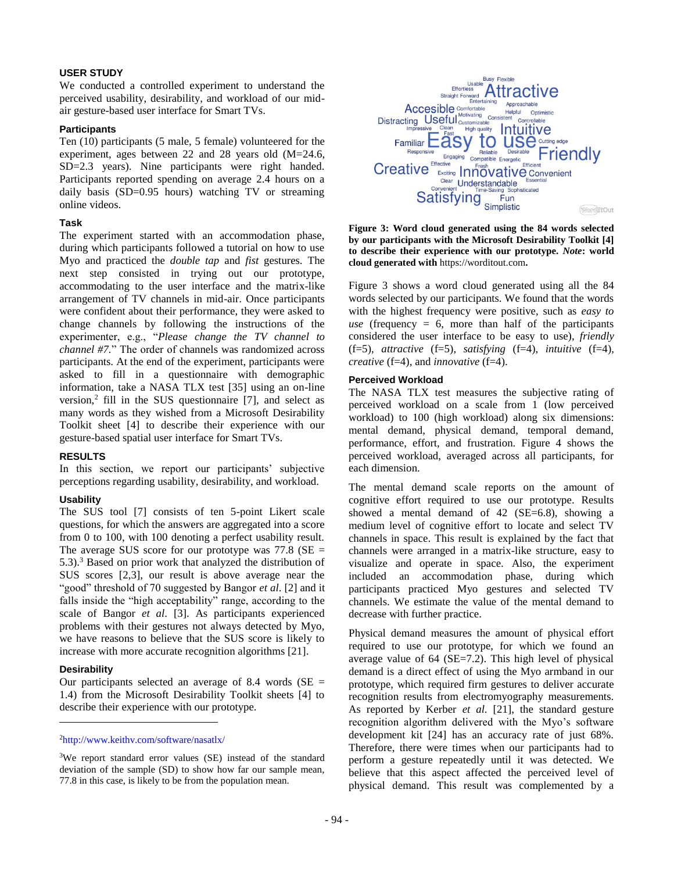# **USER STUDY**

We conducted a controlled experiment to understand the perceived usability, desirability, and workload of our midair gesture-based user interface for Smart TVs.

#### **Participants**

Ten (10) participants (5 male, 5 female) volunteered for the experiment, ages between 22 and 28 years old (M=24.6, SD=2.3 years). Nine participants were right handed. Participants reported spending on average 2.4 hours on a daily basis (SD=0.95 hours) watching TV or streaming online videos.

#### **Task**

The experiment started with an accommodation phase, during which participants followed a tutorial on how to use Myo and practiced the *double tap* and *fist* gestures. The next step consisted in trying out our prototype, accommodating to the user interface and the matrix-like arrangement of TV channels in mid-air. Once participants were confident about their performance, they were asked to change channels by following the instructions of the experimenter, e.g., "*Please change the TV channel to channel #7.*" The order of channels was randomized across participants. At the end of the experiment, participants were asked to fill in a questionnaire with demographic information, take a NASA TLX test [35] using an on-line version, $^{2}$  fill in the SUS questionnaire [7], and select as many words as they wished from a Microsoft Desirability Toolkit sheet [4] to describe their experience with our gesture-based spatial user interface for Smart TVs.

#### **RESULTS**

In this section, we report our participants' subjective perceptions regarding usability, desirability, and workload.

#### **Usability**

The SUS tool [7] consists of ten 5-point Likert scale questions, for which the answers are aggregated into a score from 0 to 100, with 100 denoting a perfect usability result. The average SUS score for our prototype was  $77.8$  (SE = 5.3).<sup>3</sup> Based on prior work that analyzed the distribution of SUS scores [2,3], our result is above average near the "good" threshold of 70 suggested by Bangor *et al*. [2] and it falls inside the "high acceptability" range, according to the scale of Bangor *et al*. [3]. As participants experienced problems with their gestures not always detected by Myo, we have reasons to believe that the SUS score is likely to increase with more accurate recognition algorithms [21].

#### **Desirability**

 $\overline{\phantom{a}}$ 

Our participants selected an average of 8.4 words ( $SE =$ 1.4) from the Microsoft Desirability Toolkit sheets [4] to describe their experience with our prototype.



**Figure 3: Word cloud generated using the 84 words selected by our participants with the Microsoft Desirability Toolkit [4] to describe their experience with our prototype.** *Note***: world cloud generated with** https://worditout.com**.**

Figure 3 shows a word cloud generated using all the 84 words selected by our participants. We found that the words with the highest frequency were positive, such as *easy to use* (frequency  $= 6$ , more than half of the participants considered the user interface to be easy to use), *friendly* (f=5), *attractive* (f=5), *satisfying* (f=4), *intuitive* (f=4), *creative* (f=4), and *innovative* (f=4).

## **Perceived Workload**

The NASA TLX test measures the subjective rating of perceived workload on a scale from 1 (low perceived workload) to 100 (high workload) along six dimensions: mental demand, physical demand, temporal demand, performance, effort, and frustration. Figure 4 shows the perceived workload, averaged across all participants, for each dimension.

The mental demand scale reports on the amount of cognitive effort required to use our prototype. Results showed a mental demand of 42 (SE=6.8), showing a medium level of cognitive effort to locate and select TV channels in space. This result is explained by the fact that channels were arranged in a matrix-like structure, easy to visualize and operate in space. Also, the experiment included an accommodation phase, during which participants practiced Myo gestures and selected TV channels. We estimate the value of the mental demand to decrease with further practice.

Physical demand measures the amount of physical effort required to use our prototype, for which we found an average value of 64 (SE=7.2). This high level of physical demand is a direct effect of using the Myo armband in our prototype, which required firm gestures to deliver accurate recognition results from electromyography measurements. As reported by Kerber *et al*. [21], the standard gesture recognition algorithm delivered with the Myo's software development kit [24] has an accuracy rate of just 68%. Therefore, there were times when our participants had to perform a gesture repeatedly until it was detected. We believe that this aspect affected the perceived level of physical demand. This result was complemented by a

<sup>2</sup><http://www.keithv.com/software/nasatlx/>

<sup>3</sup>We report standard error values (SE) instead of the standard deviation of the sample (SD) to show how far our sample mean, 77.8 in this case, is likely to be from the population mean.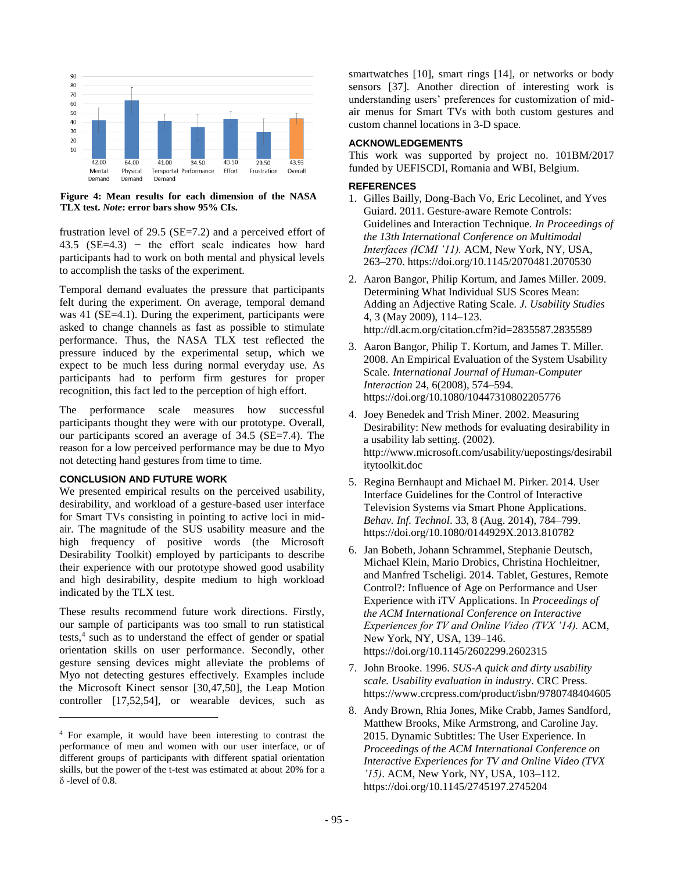

**Figure 4: Mean results for each dimension of the NASA TLX test.** *Note***: error bars show 95% CIs.**

frustration level of 29.5 (SE=7.2) and a perceived effort of 43.5 ( $SE=4.3$ ) – the effort scale indicates how hard participants had to work on both mental and physical levels to accomplish the tasks of the experiment.

Temporal demand evaluates the pressure that participants felt during the experiment. On average, temporal demand was 41 (SE=4.1). During the experiment, participants were asked to change channels as fast as possible to stimulate performance. Thus, the NASA TLX test reflected the pressure induced by the experimental setup, which we expect to be much less during normal everyday use. As participants had to perform firm gestures for proper recognition, this fact led to the perception of high effort.

The performance scale measures how successful participants thought they were with our prototype. Overall, our participants scored an average of 34.5 (SE=7.4). The reason for a low perceived performance may be due to Myo not detecting hand gestures from time to time.

## **CONCLUSION AND FUTURE WORK**

l

We presented empirical results on the perceived usability, desirability, and workload of a gesture-based user interface for Smart TVs consisting in pointing to active loci in midair. The magnitude of the SUS usability measure and the high frequency of positive words (the Microsoft Desirability Toolkit) employed by participants to describe their experience with our prototype showed good usability and high desirability, despite medium to high workload indicated by the TLX test.

These results recommend future work directions. Firstly, our sample of participants was too small to run statistical tests,<sup>4</sup> such as to understand the effect of gender or spatial orientation skills on user performance. Secondly, other gesture sensing devices might alleviate the problems of Myo not detecting gestures effectively. Examples include the Microsoft Kinect sensor [30,47,50], the Leap Motion controller [17,52,54], or wearable devices, such as

smartwatches [10], smart rings [14], or networks or body sensors [37]. Another direction of interesting work is understanding users' preferences for customization of midair menus for Smart TVs with both custom gestures and custom channel locations in 3-D space.

# **ACKNOWLEDGEMENTS**

This work was supported by project no. 101BM/2017 funded by UEFISCDI, Romania and WBI, Belgium.

#### **REFERENCES**

- 1. Gilles Bailly, Dong-Bach Vo, Eric Lecolinet, and Yves Guiard. 2011. Gesture-aware Remote Controls: Guidelines and Interaction Technique. *In Proceedings of the 13th International Conference on Multimodal Interfaces (ICMI '11).* ACM, New York, NY, USA, 263–270. https://doi.org/10.1145/2070481.2070530
- 2. Aaron Bangor, Philip Kortum, and James Miller. 2009. Determining What Individual SUS Scores Mean: Adding an Adjective Rating Scale. *J. Usability Studies* 4, 3 (May 2009), 114–123. http://dl.acm.org/citation.cfm?id=2835587.2835589
- 3. Aaron Bangor, Philip T. Kortum, and James T. Miller. 2008. An Empirical Evaluation of the System Usability Scale. *International Journal of Human-Computer Interaction* 24, 6(2008), 574–594. https://doi.org/10.1080/10447310802205776
- 4. Joey Benedek and Trish Miner. 2002. Measuring Desirability: New methods for evaluating desirability in a usability lab setting. (2002). http://www.microsoft.com/usability/uepostings/desirabil itytoolkit.doc
- 5. Regina Bernhaupt and Michael M. Pirker. 2014. User Interface Guidelines for the Control of Interactive Television Systems via Smart Phone Applications. *Behav. Inf. Technol*. 33, 8 (Aug. 2014), 784–799. https://doi.org/10.1080/0144929X.2013.810782
- 6. Jan Bobeth, Johann Schrammel, Stephanie Deutsch, Michael Klein, Mario Drobics, Christina Hochleitner, and Manfred Tscheligi. 2014. Tablet, Gestures, Remote Control?: Influence of Age on Performance and User Experience with iTV Applications. In *Proceedings of the ACM International Conference on Interactive Experiences for TV and Online Video (TVX '14).* ACM, New York, NY, USA, 139–146. https://doi.org/10.1145/2602299.2602315
- 7. John Brooke. 1996. *SUS-A quick and dirty usability scale. Usability evaluation in industry*. CRC Press. https://www.crcpress.com/product/isbn/9780748404605
- 8. Andy Brown, Rhia Jones, Mike Crabb, James Sandford, Matthew Brooks, Mike Armstrong, and Caroline Jay. 2015. Dynamic Subtitles: The User Experience. In *Proceedings of the ACM International Conference on Interactive Experiences for TV and Online Video (TVX '15)*. ACM, New York, NY, USA, 103–112. https://doi.org/10.1145/2745197.2745204

<sup>4</sup> For example, it would have been interesting to contrast the performance of men and women with our user interface, or of different groups of participants with different spatial orientation skills, but the power of the t-test was estimated at about 20% for a δ -level of 0.8.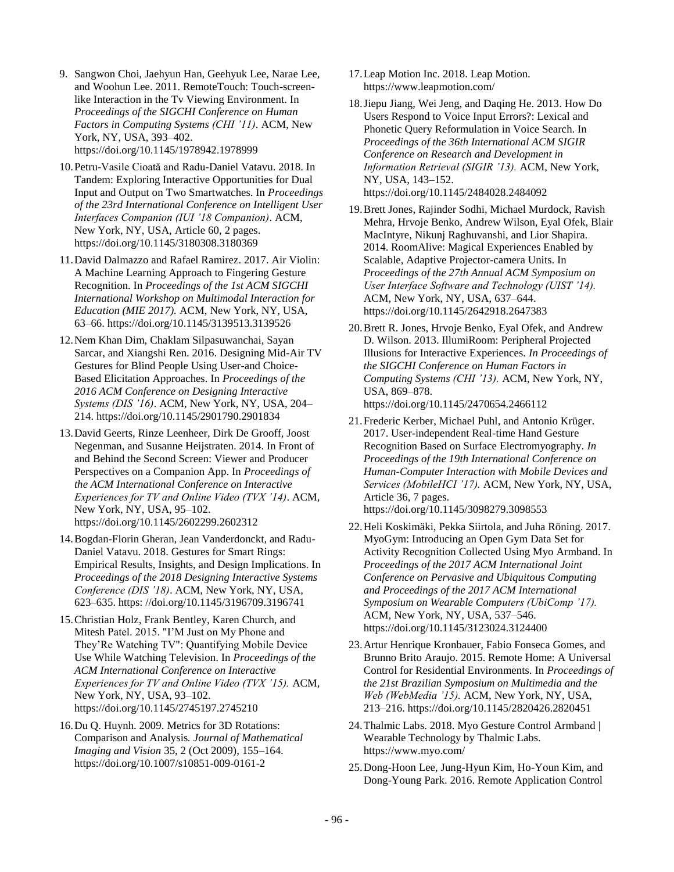- 9. Sangwon Choi, Jaehyun Han, Geehyuk Lee, Narae Lee, and Woohun Lee. 2011. RemoteTouch: Touch-screenlike Interaction in the Tv Viewing Environment. In *Proceedings of the SIGCHI Conference on Human Factors in Computing Systems (CHI '11)*. ACM, New York, NY, USA, 393–402. https://doi.org/10.1145/1978942.1978999
- 10.Petru-Vasile Cioată and Radu-Daniel Vatavu. 2018. In Tandem: Exploring Interactive Opportunities for Dual Input and Output on Two Smartwatches. In *Proceedings of the 23rd International Conference on Intelligent User Interfaces Companion (IUI '18 Companion)*. ACM, New York, NY, USA, Article 60, 2 pages. https://doi.org/10.1145/3180308.3180369
- 11.David Dalmazzo and Rafael Ramirez. 2017. Air Violin: A Machine Learning Approach to Fingering Gesture Recognition. In *Proceedings of the 1st ACM SIGCHI International Workshop on Multimodal Interaction for Education (MIE 2017).* ACM, New York, NY, USA, 63–66. https://doi.org/10.1145/3139513.3139526
- 12.Nem Khan Dim, Chaklam Silpasuwanchai, Sayan Sarcar, and Xiangshi Ren. 2016. Designing Mid-Air TV Gestures for Blind People Using User-and Choice-Based Elicitation Approaches. In *Proceedings of the 2016 ACM Conference on Designing Interactive Systems (DIS '16)*. ACM, New York, NY, USA, 204– 214. https://doi.org/10.1145/2901790.2901834
- 13.David Geerts, Rinze Leenheer, Dirk De Grooff, Joost Negenman, and Susanne Heijstraten. 2014. In Front of and Behind the Second Screen: Viewer and Producer Perspectives on a Companion App. In *Proceedings of the ACM International Conference on Interactive Experiences for TV and Online Video (TVX '14)*. ACM, New York, NY, USA, 95–102. https://doi.org/10.1145/2602299.2602312
- 14.Bogdan-Florin Gheran, Jean Vanderdonckt, and Radu-Daniel Vatavu. 2018. Gestures for Smart Rings: Empirical Results, Insights, and Design Implications. In *Proceedings of the 2018 Designing Interactive Systems Conference (DIS '18)*. ACM, New York, NY, USA, 623–635. https: //doi.org/10.1145/3196709.3196741
- 15.Christian Holz, Frank Bentley, Karen Church, and Mitesh Patel. 2015. "I'M Just on My Phone and They'Re Watching TV": Quantifying Mobile Device Use While Watching Television. In *Proceedings of the ACM International Conference on Interactive Experiences for TV and Online Video (TVX '15).* ACM, New York, NY, USA, 93–102. https://doi.org/10.1145/2745197.2745210
- 16.Du Q. Huynh. 2009. Metrics for 3D Rotations: Comparison and Analysis*. Journal of Mathematical Imaging and Vision* 35, 2 (Oct 2009), 155–164. https://doi.org/10.1007/s10851-009-0161-2
- 17.Leap Motion Inc. 2018. Leap Motion. https://www.leapmotion.com/
- 18.Jiepu Jiang, Wei Jeng, and Daqing He. 2013. How Do Users Respond to Voice Input Errors?: Lexical and Phonetic Query Reformulation in Voice Search. In *Proceedings of the 36th International ACM SIGIR Conference on Research and Development in Information Retrieval (SIGIR '13).* ACM, New York, NY, USA, 143–152. https://doi.org/10.1145/2484028.2484092
- 19.Brett Jones, Rajinder Sodhi, Michael Murdock, Ravish Mehra, Hrvoje Benko, Andrew Wilson, Eyal Ofek, Blair MacIntyre, Nikunj Raghuvanshi, and Lior Shapira. 2014. RoomAlive: Magical Experiences Enabled by Scalable, Adaptive Projector-camera Units. In *Proceedings of the 27th Annual ACM Symposium on User Interface Software and Technology (UIST '14).* ACM, New York, NY, USA, 637–644. https://doi.org/10.1145/2642918.2647383
- 20.Brett R. Jones, Hrvoje Benko, Eyal Ofek, and Andrew D. Wilson. 2013. IllumiRoom: Peripheral Projected Illusions for Interactive Experiences. *In Proceedings of the SIGCHI Conference on Human Factors in Computing Systems (CHI '13).* ACM, New York, NY, USA, 869–878. https://doi.org/10.1145/2470654.2466112
- 21.Frederic Kerber, Michael Puhl, and Antonio Krüger. 2017. User-independent Real-time Hand Gesture Recognition Based on Surface Electromyography*. In Proceedings of the 19th International Conference on Human-Computer Interaction with Mobile Devices and Services (MobileHCI '17).* ACM, New York, NY, USA, Article 36, 7 pages. https://doi.org/10.1145/3098279.3098553
- 22.Heli Koskimäki, Pekka Siirtola, and Juha Röning. 2017. MyoGym: Introducing an Open Gym Data Set for Activity Recognition Collected Using Myo Armband. In *Proceedings of the 2017 ACM International Joint Conference on Pervasive and Ubiquitous Computing and Proceedings of the 2017 ACM International Symposium on Wearable Computers (UbiComp '17).* ACM, New York, NY, USA, 537–546. https://doi.org/10.1145/3123024.3124400
- 23.Artur Henrique Kronbauer, Fabio Fonseca Gomes, and Brunno Brito Araujo. 2015. Remote Home: A Universal Control for Residential Environments. In *Proceedings of the 21st Brazilian Symposium on Multimedia and the Web (WebMedia '15).* ACM, New York, NY, USA, 213–216. https://doi.org/10.1145/2820426.2820451
- 24.Thalmic Labs. 2018. Myo Gesture Control Armband | Wearable Technology by Thalmic Labs. https://www.myo.com/
- 25.Dong-Hoon Lee, Jung-Hyun Kim, Ho-Youn Kim, and Dong-Young Park. 2016. Remote Application Control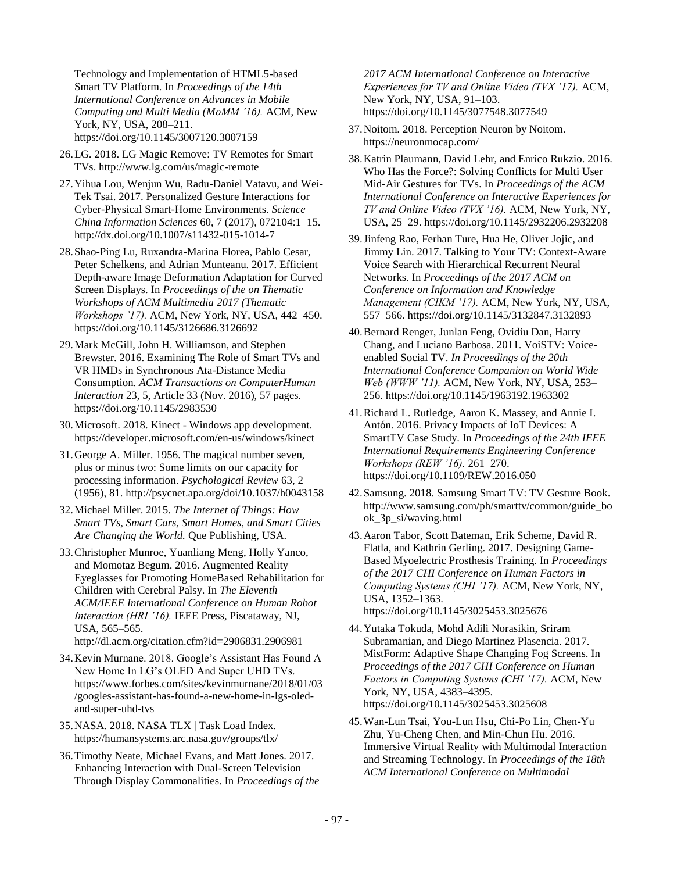Technology and Implementation of HTML5-based Smart TV Platform. In *Proceedings of the 14th International Conference on Advances in Mobile Computing and Multi Media (MoMM '16).* ACM, New York, NY, USA, 208–211. https://doi.org/10.1145/3007120.3007159

- 26.LG. 2018. LG Magic Remove: TV Remotes for Smart TVs. http://www.lg.com/us/magic-remote
- 27.Yihua Lou, Wenjun Wu, Radu-Daniel Vatavu, and Wei-Tek Tsai. 2017. Personalized Gesture Interactions for Cyber-Physical Smart-Home Environments. *Science China Information Sciences* 60, 7 (2017), 072104:1–15. http://dx.doi.org/10.1007/s11432-015-1014-7
- 28.Shao-Ping Lu, Ruxandra-Marina Florea, Pablo Cesar, Peter Schelkens, and Adrian Munteanu. 2017. Efficient Depth-aware Image Deformation Adaptation for Curved Screen Displays. In *Proceedings of the on Thematic Workshops of ACM Multimedia 2017 (Thematic Workshops '17).* ACM, New York, NY, USA, 442–450. https://doi.org/10.1145/3126686.3126692
- 29.Mark McGill, John H. Williamson, and Stephen Brewster. 2016. Examining The Role of Smart TVs and VR HMDs in Synchronous Ata-Distance Media Consumption. *ACM Transactions on ComputerHuman Interaction* 23, 5, Article 33 (Nov. 2016), 57 pages. https://doi.org/10.1145/2983530
- 30.Microsoft. 2018. Kinect Windows app development. https://developer.microsoft.com/en-us/windows/kinect
- 31.George A. Miller. 1956. The magical number seven, plus or minus two: Some limits on our capacity for processing information. *Psychological Review* 63, 2 (1956), 81. http://psycnet.apa.org/doi/10.1037/h0043158
- 32.Michael Miller. 2015*. The Internet of Things: How Smart TVs, Smart Cars, Smart Homes, and Smart Cities Are Changing the World.* Que Publishing, USA.
- 33.Christopher Munroe, Yuanliang Meng, Holly Yanco, and Momotaz Begum. 2016. Augmented Reality Eyeglasses for Promoting HomeBased Rehabilitation for Children with Cerebral Palsy. In *The Eleventh ACM/IEEE International Conference on Human Robot Interaction (HRI '16).* IEEE Press, Piscataway, NJ, USA, 565–565.
	- http://dl.acm.org/citation.cfm?id=2906831.2906981
- 34.Kevin Murnane. 2018. Google's Assistant Has Found A New Home In LG's OLED And Super UHD TVs. https://www.forbes.com/sites/kevinmurnane/2018/01/03 /googles-assistant-has-found-a-new-home-in-lgs-oledand-super-uhd-tvs
- 35.NASA. 2018. NASA TLX | Task Load Index. https://humansystems.arc.nasa.gov/groups/tlx/
- 36.Timothy Neate, Michael Evans, and Matt Jones. 2017. Enhancing Interaction with Dual-Screen Television Through Display Commonalities. In *Proceedings of the*

*2017 ACM International Conference on Interactive Experiences for TV and Online Video (TVX '17).* ACM, New York, NY, USA, 91–103. https://doi.org/10.1145/3077548.3077549

- 37.Noitom. 2018. Perception Neuron by Noitom. https://neuronmocap.com/
- 38.Katrin Plaumann, David Lehr, and Enrico Rukzio. 2016. Who Has the Force?: Solving Conflicts for Multi User Mid-Air Gestures for TVs. In *Proceedings of the ACM International Conference on Interactive Experiences for TV and Online Video (TVX '16).* ACM, New York, NY, USA, 25–29. https://doi.org/10.1145/2932206.2932208
- 39.Jinfeng Rao, Ferhan Ture, Hua He, Oliver Jojic, and Jimmy Lin. 2017. Talking to Your TV: Context-Aware Voice Search with Hierarchical Recurrent Neural Networks. In *Proceedings of the 2017 ACM on Conference on Information and Knowledge Management (CIKM '17).* ACM, New York, NY, USA, 557–566. https://doi.org/10.1145/3132847.3132893
- 40.Bernard Renger, Junlan Feng, Ovidiu Dan, Harry Chang, and Luciano Barbosa. 2011. VoiSTV: Voiceenabled Social TV. *In Proceedings of the 20th International Conference Companion on World Wide Web (WWW '11).* ACM, New York, NY, USA, 253– 256. https://doi.org/10.1145/1963192.1963302
- 41.Richard L. Rutledge, Aaron K. Massey, and Annie I. Antón. 2016. Privacy Impacts of IoT Devices: A SmartTV Case Study. In *Proceedings of the 24th IEEE International Requirements Engineering Conference Workshops (REW '16).* 261–270. https://doi.org/10.1109/REW.2016.050
- 42.Samsung. 2018. Samsung Smart TV: TV Gesture Book. http://www.samsung.com/ph/smarttv/common/guide\_bo ok\_3p\_si/waving.html
- 43.Aaron Tabor, Scott Bateman, Erik Scheme, David R. Flatla, and Kathrin Gerling. 2017. Designing Game-Based Myoelectric Prosthesis Training. In *Proceedings of the 2017 CHI Conference on Human Factors in Computing Systems (CHI '17).* ACM, New York, NY, USA, 1352–1363. https://doi.org/10.1145/3025453.3025676
- 44.Yutaka Tokuda, Mohd Adili Norasikin, Sriram Subramanian, and Diego Martinez Plasencia. 2017. MistForm: Adaptive Shape Changing Fog Screens. In *Proceedings of the 2017 CHI Conference on Human Factors in Computing Systems (CHI '17).* ACM, New York, NY, USA, 4383–4395. https://doi.org/10.1145/3025453.3025608
- 45.Wan-Lun Tsai, You-Lun Hsu, Chi-Po Lin, Chen-Yu Zhu, Yu-Cheng Chen, and Min-Chun Hu. 2016. Immersive Virtual Reality with Multimodal Interaction and Streaming Technology. In *Proceedings of the 18th ACM International Conference on Multimodal*